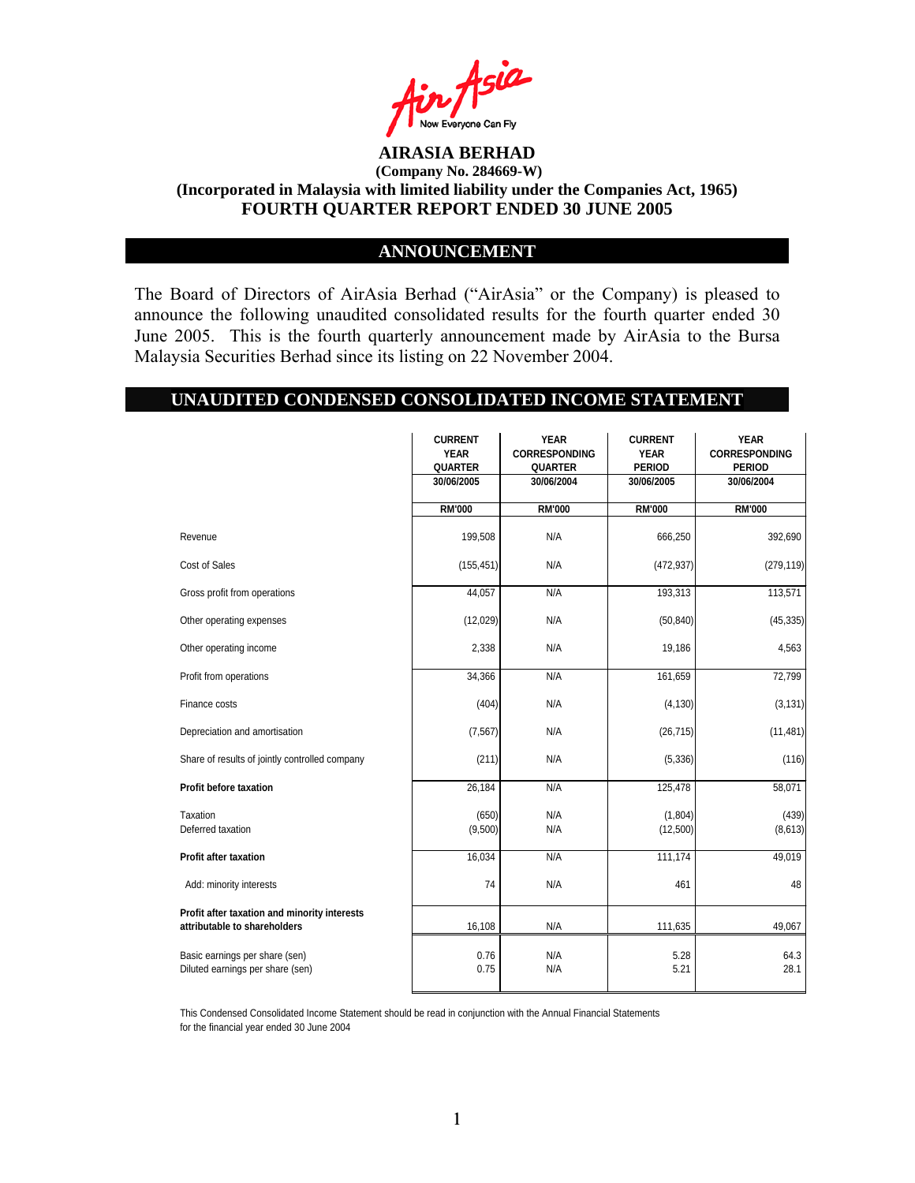

## **ANNOUNCEMENT**

The Board of Directors of AirAsia Berhad ("AirAsia" or the Company) is pleased to announce the following unaudited consolidated results for the fourth quarter ended 30 June 2005. This is the fourth quarterly announcement made by AirAsia to the Bursa Malaysia Securities Berhad since its listing on 22 November 2004.

#### **UNAUDITED CONDENSED CONSOLIDATED INCOME STATEMENT**

|                                                                              | <b>CURRENT</b><br><b>YEAR</b><br><b>QUARTER</b> | <b>YEAR</b><br><b>CORRESPONDING</b><br><b>QUARTER</b> | <b>CURRENT</b><br><b>YEAR</b><br><b>PERIOD</b> | <b>YEAR</b><br><b>CORRESPONDING</b><br><b>PERIOD</b> |
|------------------------------------------------------------------------------|-------------------------------------------------|-------------------------------------------------------|------------------------------------------------|------------------------------------------------------|
|                                                                              | 30/06/2005                                      | 30/06/2004                                            | 30/06/2005                                     | 30/06/2004                                           |
|                                                                              | <b>RM'000</b>                                   | <b>RM'000</b>                                         | <b>RM'000</b>                                  | <b>RM'000</b>                                        |
| Revenue                                                                      | 199,508                                         | N/A                                                   | 666,250                                        | 392,690                                              |
| Cost of Sales                                                                | (155, 451)                                      | N/A                                                   | (472, 937)                                     | (279, 119)                                           |
| Gross profit from operations                                                 | 44,057                                          | N/A                                                   | 193,313                                        | 113,571                                              |
| Other operating expenses                                                     | (12,029)                                        | N/A                                                   | (50, 840)                                      | (45, 335)                                            |
| Other operating income                                                       | 2,338                                           | N/A                                                   | 19,186                                         | 4,563                                                |
| Profit from operations                                                       | 34,366                                          | N/A                                                   | 161,659                                        | 72,799                                               |
| Finance costs                                                                | (404)                                           | N/A                                                   | (4, 130)                                       | (3, 131)                                             |
| Depreciation and amortisation                                                | (7, 567)                                        | N/A                                                   | (26, 715)                                      | (11, 481)                                            |
| Share of results of jointly controlled company                               | (211)                                           | N/A                                                   | (5, 336)                                       | (116)                                                |
| Profit before taxation                                                       | 26,184                                          | N/A                                                   | 125,478                                        | 58,071                                               |
| Taxation<br>Deferred taxation                                                | (650)<br>(9,500)                                | N/A<br>N/A                                            | (1,804)<br>(12,500)                            | (439)<br>(8,613)                                     |
| <b>Profit after taxation</b>                                                 | 16,034                                          | N/A                                                   | 111,174                                        | 49,019                                               |
| Add: minority interests                                                      | 74                                              | N/A                                                   | 461                                            | 48                                                   |
| Profit after taxation and minority interests<br>attributable to shareholders | 16,108                                          | N/A                                                   | 111,635                                        | 49,067                                               |
| Basic earnings per share (sen)<br>Diluted earnings per share (sen)           | 0.76<br>0.75                                    | N/A<br>N/A                                            | 5.28<br>5.21                                   | 64.3<br>28.1                                         |

This Condensed Consolidated Income Statement should be read in conjunction with the Annual Financial Statements for the financial year ended 30 June 2004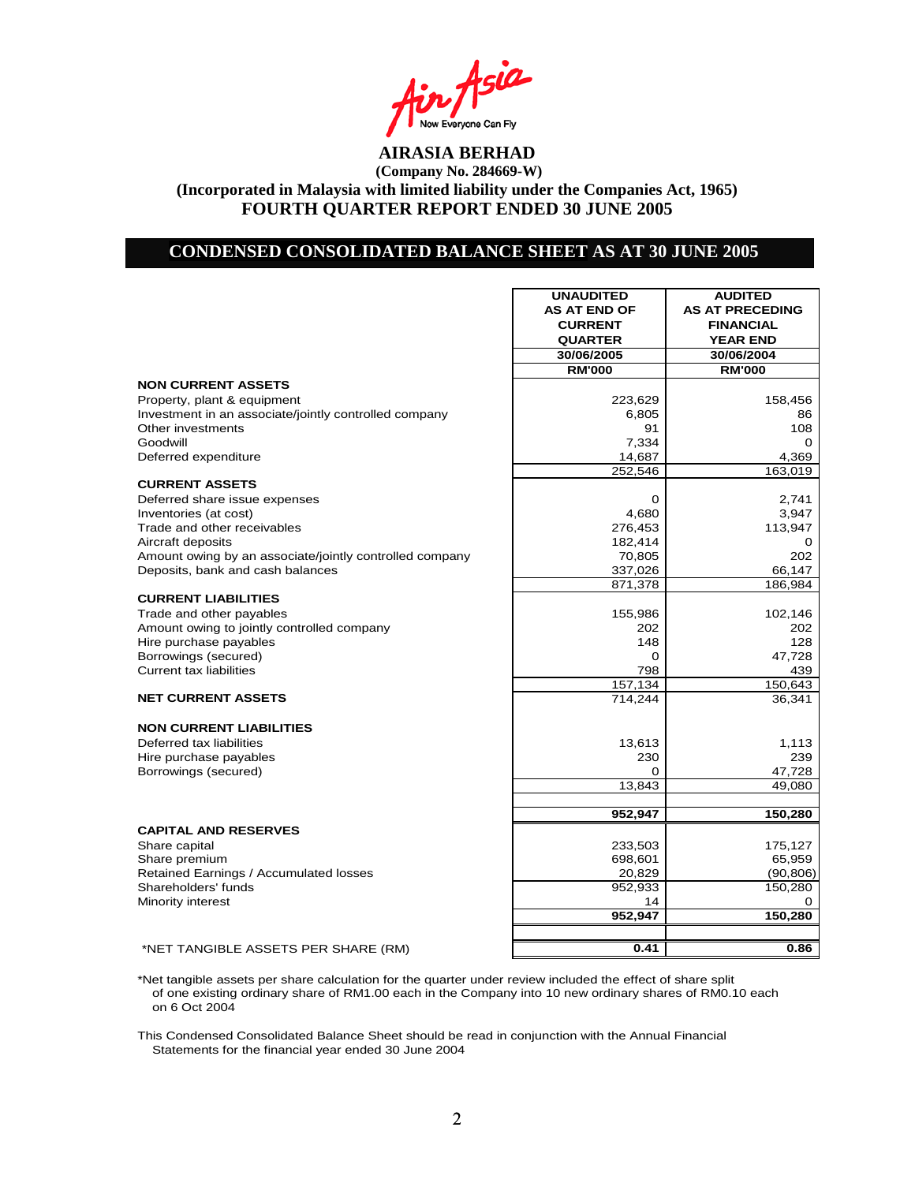Asia **I** Now Everyone Can Fly<br>**AIRASIA BERHAD** 

#### **CONDENSED CONSOLIDATED BALANCE SHEET AS AT 30 JUNE 2005**

|                                                         | <b>UNAUDITED</b>    | <b>AUDITED</b>         |
|---------------------------------------------------------|---------------------|------------------------|
|                                                         | <b>AS AT END OF</b> | <b>AS AT PRECEDING</b> |
|                                                         | <b>CURRENT</b>      | <b>FINANCIAL</b>       |
|                                                         | <b>QUARTER</b>      | <b>YEAR END</b>        |
|                                                         | 30/06/2005          | 30/06/2004             |
|                                                         | <b>RM'000</b>       | <b>RM'000</b>          |
| <b>NON CURRENT ASSETS</b>                               |                     |                        |
| Property, plant & equipment                             | 223,629             | 158,456                |
| Investment in an associate/jointly controlled company   | 6,805               | 86                     |
| Other investments                                       | 91                  | 108                    |
| Goodwill                                                | 7,334               | 0                      |
| Deferred expenditure                                    | 14,687              | 4,369                  |
|                                                         | 252,546             | 163,019                |
| <b>CURRENT ASSETS</b>                                   |                     |                        |
| Deferred share issue expenses                           | 0                   | 2,741                  |
| Inventories (at cost)                                   | 4,680               | 3,947                  |
| Trade and other receivables                             | 276,453             | 113,947                |
| Aircraft deposits                                       | 182,414             | 0                      |
| Amount owing by an associate/jointly controlled company | 70,805              | 202                    |
| Deposits, bank and cash balances                        | 337,026             | 66,147                 |
|                                                         | 871,378             | 186,984                |
| <b>CURRENT LIABILITIES</b>                              |                     |                        |
| Trade and other payables                                | 155,986             | 102,146                |
| Amount owing to jointly controlled company              | 202                 | 202                    |
| Hire purchase payables<br>Borrowings (secured)          | 148<br>0            | 128                    |
| <b>Current tax liabilities</b>                          | 798                 | 47,728<br>439          |
|                                                         | 157,134             | 150,643                |
| <b>NET CURRENT ASSETS</b>                               | 714,244             | 36,341                 |
|                                                         |                     |                        |
| <b>NON CURRENT LIABILITIES</b>                          |                     |                        |
| Deferred tax liabilities                                | 13,613              | 1,113                  |
| Hire purchase payables                                  | 230                 | 239                    |
| Borrowings (secured)                                    | $\Omega$            | 47,728                 |
|                                                         | 13,843              | 49,080                 |
|                                                         |                     |                        |
|                                                         | 952,947             | 150,280                |
| <b>CAPITAL AND RESERVES</b>                             |                     |                        |
| Share capital                                           | 233,503             | 175,127                |
| Share premium                                           | 698,601             | 65,959                 |
| Retained Earnings / Accumulated losses                  | 20,829              | (90, 806)              |
| Shareholders' funds                                     | 952,933             | 150,280                |
| Minority interest                                       | 14                  | 0                      |
|                                                         | 952,947             | 150,280                |
|                                                         |                     |                        |
| *NET TANGIBLE ASSETS PER SHARE (RM)                     | 0.41                | 0.86                   |

\*Net tangible assets per share calculation for the quarter under review included the effect of share split of one existing ordinary share of RM1.00 each in the Company into 10 new ordinary shares of RM0.10 each on 6 Oct 2004

This Condensed Consolidated Balance Sheet should be read in conjunction with the Annual Financial Statements for the financial year ended 30 June 2004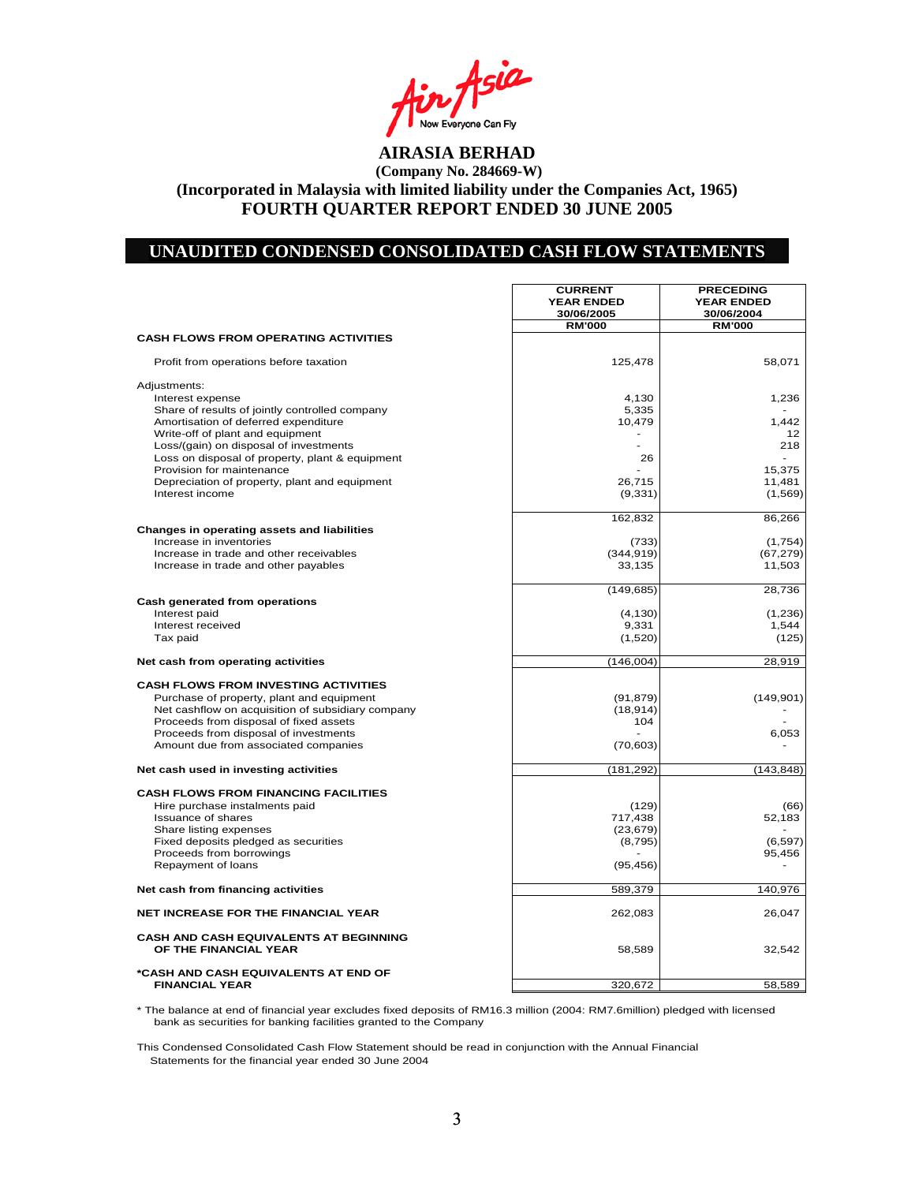Asia **AIRASIA BERHAD** 

#### **UNAUDITED CONDENSED CONSOLIDATED CASH FLOW STATEMENTS**

 $\Gamma$ 

**CURRENT PRECEDING**

┑

|                                                                              | <b>YEAR ENDED</b><br>30/06/2005 | <b>YEAR ENDED</b><br>30/06/2004 |
|------------------------------------------------------------------------------|---------------------------------|---------------------------------|
|                                                                              | <b>RM'000</b>                   | <b>RM'000</b>                   |
| <b>CASH FLOWS FROM OPERATING ACTIVITIES</b>                                  |                                 |                                 |
| Profit from operations before taxation                                       | 125,478                         | 58,071                          |
|                                                                              |                                 |                                 |
| Adjustments:                                                                 |                                 |                                 |
| Interest expense                                                             | 4,130                           | 1,236                           |
| Share of results of jointly controlled company                               | 5,335                           |                                 |
| Amortisation of deferred expenditure                                         | 10,479                          | 1,442                           |
| Write-off of plant and equipment                                             |                                 | 12                              |
| Loss/(gain) on disposal of investments                                       | 26                              | 218                             |
| Loss on disposal of property, plant & equipment<br>Provision for maintenance |                                 | 15,375                          |
| Depreciation of property, plant and equipment                                | 26,715                          | 11,481                          |
| Interest income                                                              | (9, 331)                        | (1,569)                         |
|                                                                              |                                 |                                 |
|                                                                              | 162,832                         | 86,266                          |
| Changes in operating assets and liabilities                                  |                                 |                                 |
| Increase in inventories                                                      | (733)                           | (1,754)                         |
| Increase in trade and other receivables                                      | (344, 919)                      | (67, 279)                       |
| Increase in trade and other payables                                         | 33,135                          | 11,503                          |
|                                                                              | (149, 685)                      | 28,736                          |
| Cash generated from operations                                               |                                 |                                 |
| Interest paid                                                                | (4, 130)                        | (1,236)                         |
| Interest received                                                            | 9,331                           | 1,544                           |
| Tax paid                                                                     | (1,520)                         | (125)                           |
|                                                                              |                                 |                                 |
| Net cash from operating activities                                           | (146, 004)                      | 28,919                          |
| <b>CASH FLOWS FROM INVESTING ACTIVITIES</b>                                  |                                 |                                 |
| Purchase of property, plant and equipment                                    | (91, 879)                       | (149, 901)                      |
| Net cashflow on acquisition of subsidiary company                            | (18, 914)                       |                                 |
| Proceeds from disposal of fixed assets                                       | 104                             |                                 |
| Proceeds from disposal of investments                                        |                                 | 6,053                           |
| Amount due from associated companies                                         | (70, 603)                       |                                 |
|                                                                              |                                 |                                 |
| Net cash used in investing activities                                        | (181, 292)                      | (143, 848)                      |
| <b>CASH FLOWS FROM FINANCING FACILITIES</b>                                  |                                 |                                 |
| Hire purchase instalments paid                                               | (129)                           | (66)                            |
| <b>Issuance of shares</b>                                                    | 717,438                         | 52,183                          |
| Share listing expenses                                                       | (23, 679)                       |                                 |
| Fixed deposits pledged as securities                                         | (8, 795)                        | (6, 597)                        |
| Proceeds from borrowings                                                     |                                 | 95,456                          |
| Repayment of loans                                                           | (95, 456)                       |                                 |
|                                                                              |                                 |                                 |
| Net cash from financing activities                                           | 589,379                         | 140,976                         |
| <b>NET INCREASE FOR THE FINANCIAL YEAR</b>                                   | 262,083                         | 26,047                          |
| CASH AND CASH EQUIVALENTS AT BEGINNING                                       |                                 |                                 |
| OF THE FINANCIAL YEAR                                                        | 58,589                          | 32,542                          |
| *CASH AND CASH EQUIVALENTS AT END OF                                         |                                 |                                 |
| <b>FINANCIAL YEAR</b>                                                        | 320,672                         | 58,589                          |

\* The balance at end of financial year excludes fixed deposits of RM16.3 million (2004: RM7.6million) pledged with licensed bank as securities for banking facilities granted to the Company

This Condensed Consolidated Cash Flow Statement should be read in conjunction with the Annual Financial Statements for the financial year ended 30 June 2004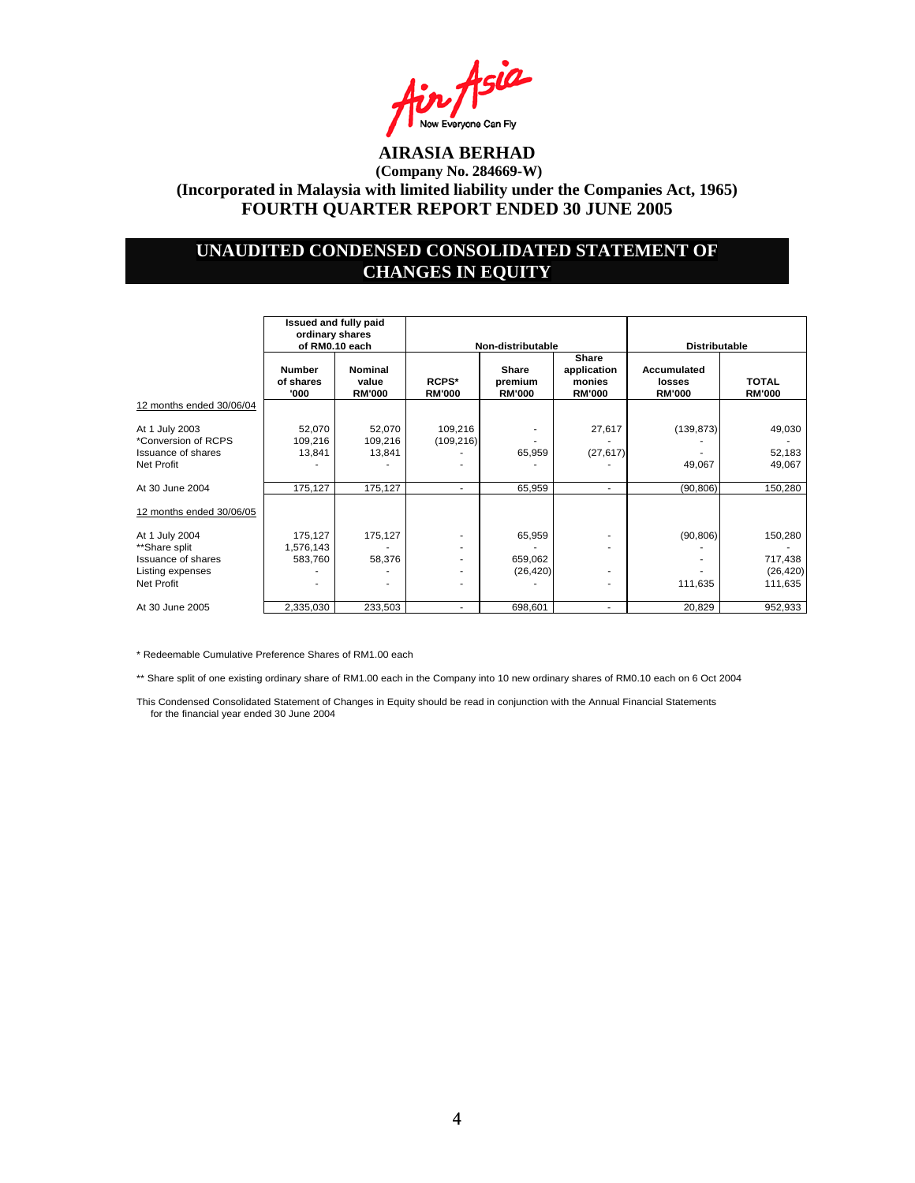

## **UNAUDITED CONDENSED CONSOLIDATED STATEMENT OF CHANGES IN EQUITY**

|                                                                                                | Issued and fully paid<br>ordinary shares<br>of RM0.10 each |                                   | Non-distributable      |                                   | <b>Distributable</b>                            |                                        |                                            |
|------------------------------------------------------------------------------------------------|------------------------------------------------------------|-----------------------------------|------------------------|-----------------------------------|-------------------------------------------------|----------------------------------------|--------------------------------------------|
|                                                                                                | <b>Number</b><br>of shares<br>'000                         | Nominal<br>value<br><b>RM'000</b> | RCPS*<br><b>RM'000</b> | Share<br>premium<br><b>RM'000</b> | Share<br>application<br>monies<br><b>RM'000</b> | Accumulated<br>losses<br><b>RM'000</b> | <b>TOTAL</b><br><b>RM'000</b>              |
| 12 months ended 30/06/04                                                                       |                                                            |                                   |                        |                                   |                                                 |                                        |                                            |
| At 1 July 2003<br>*Conversion of RCPS<br>Issuance of shares<br>Net Profit                      | 52,070<br>109,216<br>13,841                                | 52,070<br>109,216<br>13,841       | 109,216<br>(109, 216)  | ٠<br>65,959                       | 27,617<br>(27, 617)                             | (139, 873)<br>49,067                   | 49,030<br>52,183<br>49,067                 |
| At 30 June 2004                                                                                | 175,127                                                    | 175,127                           | ۰.                     | 65,959                            | $\overline{\phantom{a}}$                        | (90, 806)                              | 150,280                                    |
| 12 months ended 30/06/05                                                                       |                                                            |                                   |                        |                                   |                                                 |                                        |                                            |
| At 1 July 2004<br>**Share split<br><b>Issuance of shares</b><br>Listing expenses<br>Net Profit | 175,127<br>1,576,143<br>583,760                            | 175,127<br>58,376                 | ۰.<br>۰<br>۰           | 65,959<br>659,062<br>(26, 420)    |                                                 | (90, 806)<br>111,635                   | 150,280<br>717,438<br>(26, 420)<br>111,635 |
| At 30 June 2005                                                                                | 2,335,030                                                  | 233,503                           | ٠                      | 698,601                           |                                                 | 20,829                                 | 952,933                                    |

\* Redeemable Cumulative Preference Shares of RM1.00 each

\*\* Share split of one existing ordinary share of RM1.00 each in the Company into 10 new ordinary shares of RM0.10 each on 6 Oct 2004

This Condensed Consolidated Statement of Changes in Equity should be read in conjunction with the Annual Financial Statements for the financial year ended 30 June 2004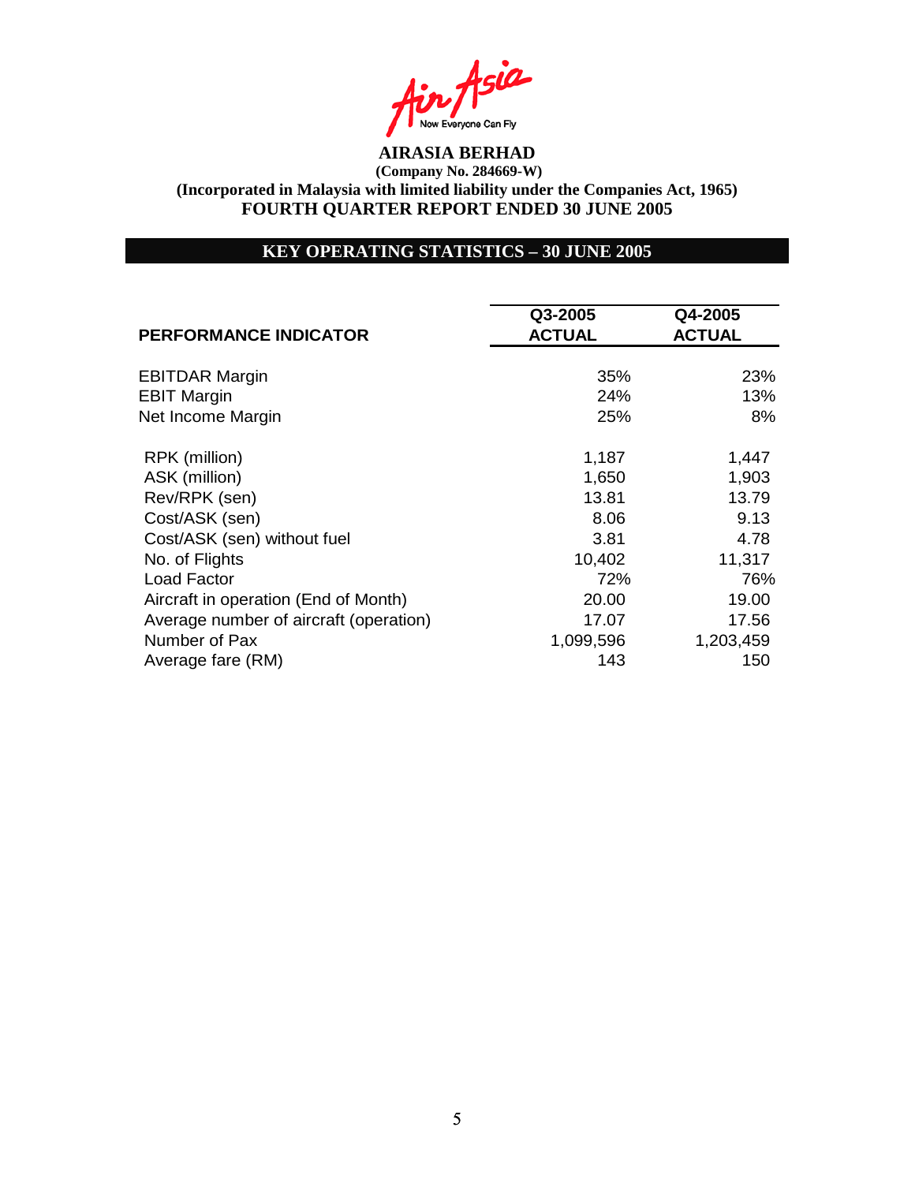Asia Now Everyone Can Fly<br>**AIRASIA BERHAD** 

## **KEY OPERATING STATISTICS – 30 JUNE 2005**

| <b>PERFORMANCE INDICATOR</b>           | Q3-2005       | Q4-2005       |
|----------------------------------------|---------------|---------------|
|                                        | <b>ACTUAL</b> | <b>ACTUAL</b> |
| <b>EBITDAR Margin</b>                  | 35%           | 23%           |
| <b>EBIT Margin</b>                     | 24%           | 13%           |
| Net Income Margin                      | 25%           | 8%            |
| RPK (million)                          | 1,187         | 1,447         |
| ASK (million)                          | 1,650         | 1,903         |
| Rev/RPK (sen)                          | 13.81         | 13.79         |
| Cost/ASK (sen)                         | 8.06          | 9.13          |
| Cost/ASK (sen) without fuel            | 3.81          | 4.78          |
| No. of Flights                         | 10,402        | 11,317        |
| Load Factor                            | 72%           | 76%           |
| Aircraft in operation (End of Month)   | 20.00         | 19.00         |
| Average number of aircraft (operation) | 17.07         | 17.56         |
| Number of Pax                          | 1,099,596     | 1,203,459     |
| Average fare (RM)                      | 143           | 150           |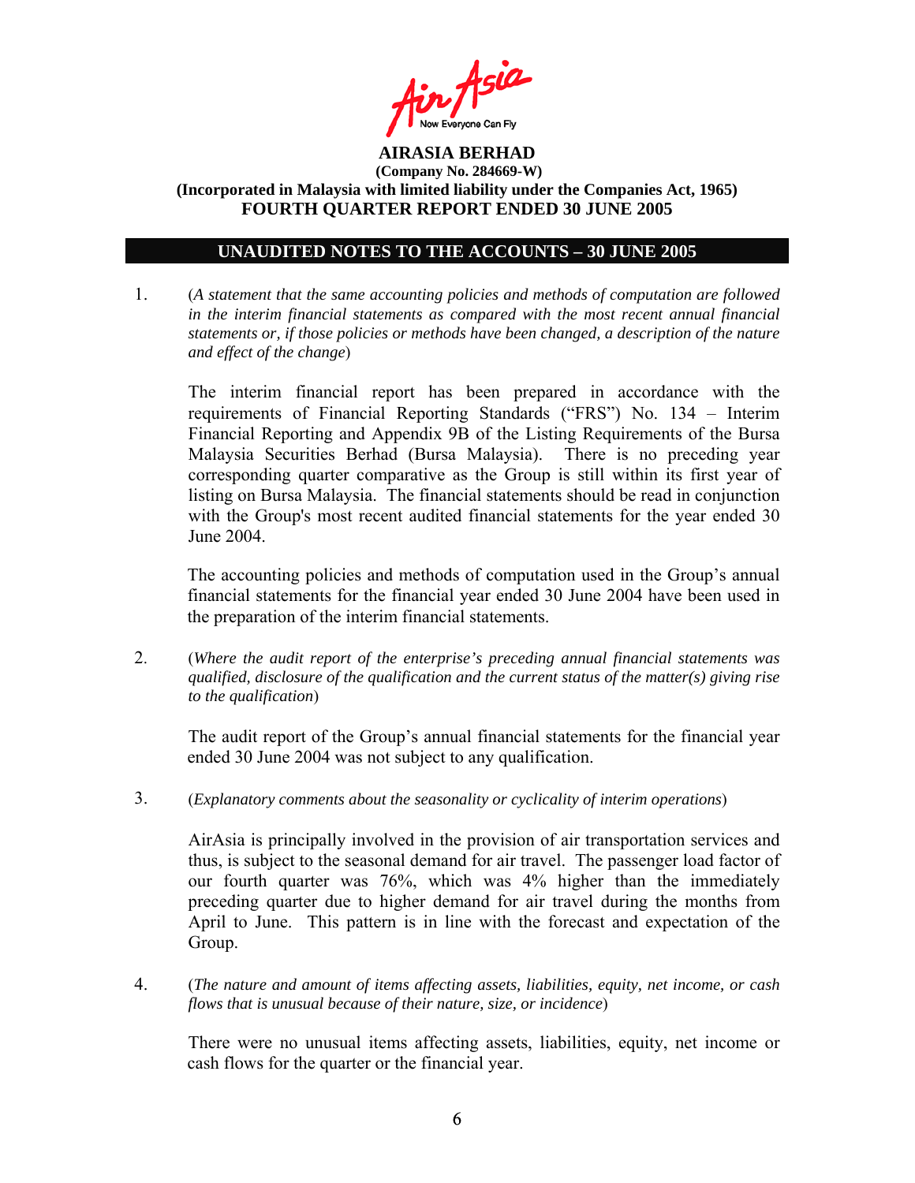

## **UNAUDITED NOTES TO THE ACCOUNTS – 30 JUNE 2005**

1. (*A statement that the same accounting policies and methods of computation are followed in the interim financial statements as compared with the most recent annual financial statements or, if those policies or methods have been changed, a description of the nature and effect of the change*)

The interim financial report has been prepared in accordance with the requirements of Financial Reporting Standards ("FRS") No. 134 – Interim Financial Reporting and Appendix 9B of the Listing Requirements of the Bursa Malaysia Securities Berhad (Bursa Malaysia). There is no preceding year corresponding quarter comparative as the Group is still within its first year of listing on Bursa Malaysia. The financial statements should be read in conjunction with the Group's most recent audited financial statements for the year ended 30 June 2004.

The accounting policies and methods of computation used in the Group's annual financial statements for the financial year ended 30 June 2004 have been used in the preparation of the interim financial statements.

2. (*Where the audit report of the enterprise's preceding annual financial statements was qualified, disclosure of the qualification and the current status of the matter(s) giving rise to the qualification*)

The audit report of the Group's annual financial statements for the financial year ended 30 June 2004 was not subject to any qualification.

3. (*Explanatory comments about the seasonality or cyclicality of interim operations*)

AirAsia is principally involved in the provision of air transportation services and thus, is subject to the seasonal demand for air travel. The passenger load factor of our fourth quarter was 76%, which was 4% higher than the immediately preceding quarter due to higher demand for air travel during the months from April to June. This pattern is in line with the forecast and expectation of the Group.

4. (*The nature and amount of items affecting assets, liabilities, equity, net income, or cash flows that is unusual because of their nature, size, or incidence*)

 There were no unusual items affecting assets, liabilities, equity, net income or cash flows for the quarter or the financial year.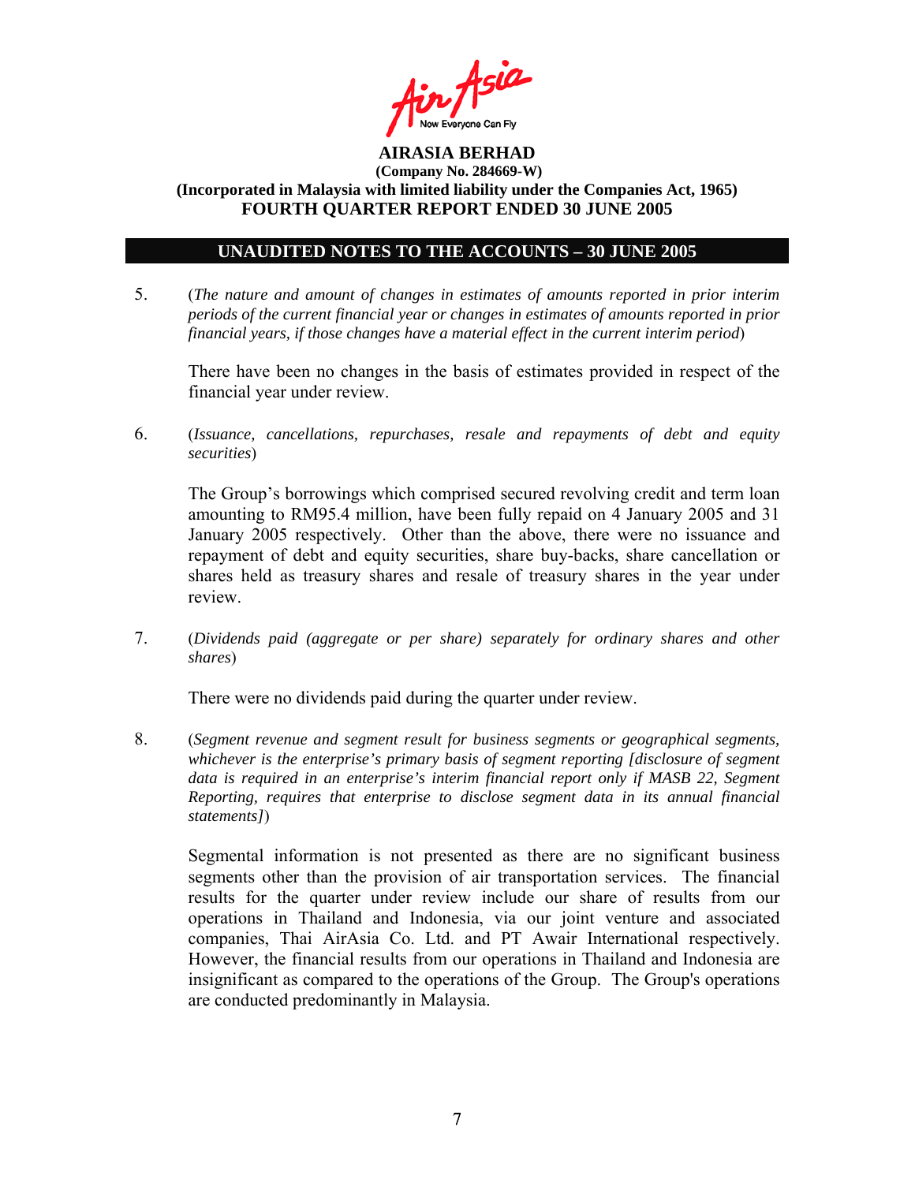

### **UNAUDITED NOTES TO THE ACCOUNTS – 30 JUNE 2005**

5. (*The nature and amount of changes in estimates of amounts reported in prior interim periods of the current financial year or changes in estimates of amounts reported in prior financial years, if those changes have a material effect in the current interim period*)

There have been no changes in the basis of estimates provided in respect of the financial year under review.

6. (*Issuance, cancellations, repurchases, resale and repayments of debt and equity securities*)

The Group's borrowings which comprised secured revolving credit and term loan amounting to RM95.4 million, have been fully repaid on 4 January 2005 and 31 January 2005 respectively. Other than the above, there were no issuance and repayment of debt and equity securities, share buy-backs, share cancellation or shares held as treasury shares and resale of treasury shares in the year under review.

7. (*Dividends paid (aggregate or per share) separately for ordinary shares and other shares*)

There were no dividends paid during the quarter under review.

8. (*Segment revenue and segment result for business segments or geographical segments, whichever is the enterprise's primary basis of segment reporting [disclosure of segment*  data is required in an enterprise's interim financial report only if MASB 22, Segment *Reporting, requires that enterprise to disclose segment data in its annual financial statements]*)

Segmental information is not presented as there are no significant business segments other than the provision of air transportation services. The financial results for the quarter under review include our share of results from our operations in Thailand and Indonesia, via our joint venture and associated companies, Thai AirAsia Co. Ltd. and PT Awair International respectively. However, the financial results from our operations in Thailand and Indonesia are insignificant as compared to the operations of the Group. The Group's operations are conducted predominantly in Malaysia.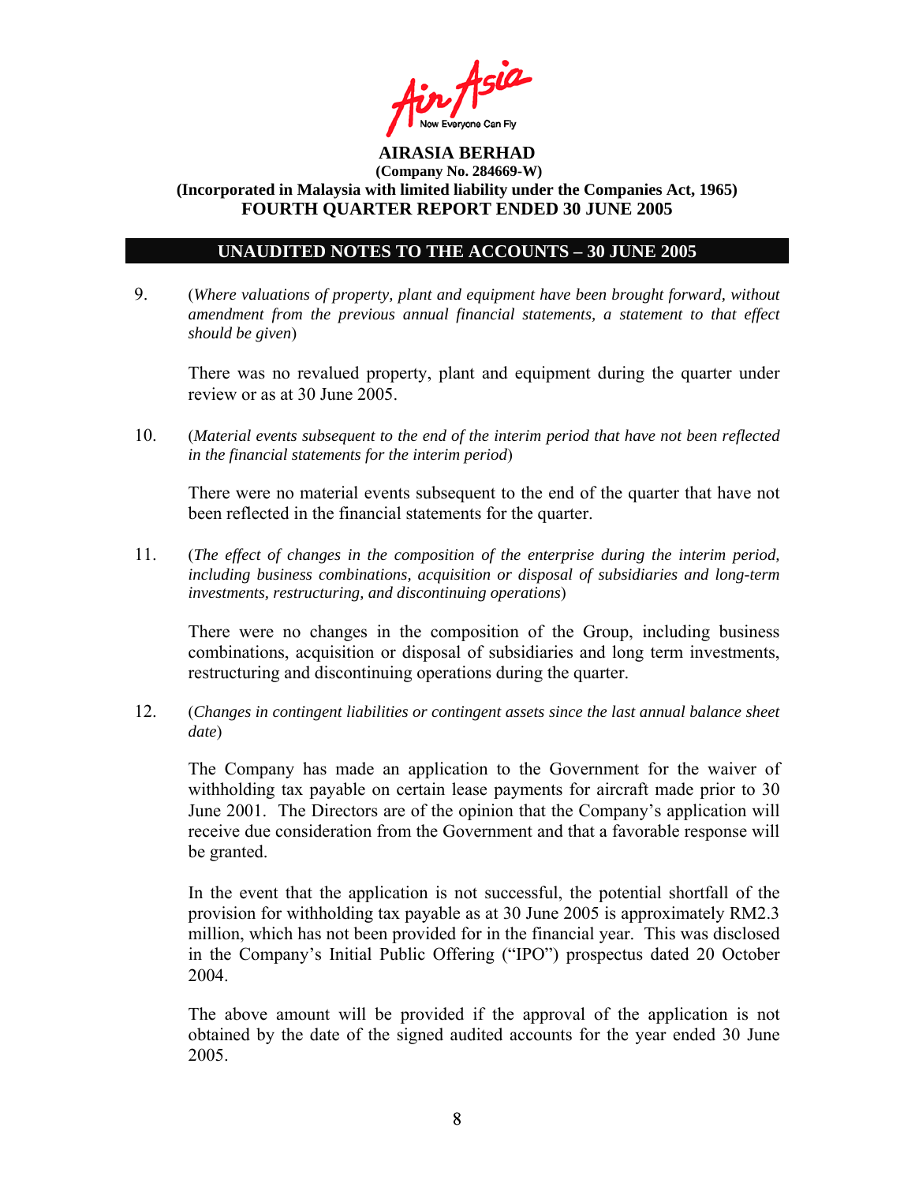

### **UNAUDITED NOTES TO THE ACCOUNTS – 30 JUNE 2005**

9. (*Where valuations of property, plant and equipment have been brought forward, without amendment from the previous annual financial statements, a statement to that effect should be given*)

 There was no revalued property, plant and equipment during the quarter under review or as at 30 June 2005.

10. (*Material events subsequent to the end of the interim period that have not been reflected in the financial statements for the interim period*)

There were no material events subsequent to the end of the quarter that have not been reflected in the financial statements for the quarter.

11. (*The effect of changes in the composition of the enterprise during the interim period, including business combinations, acquisition or disposal of subsidiaries and long-term investments, restructuring, and discontinuing operations*)

There were no changes in the composition of the Group, including business combinations, acquisition or disposal of subsidiaries and long term investments, restructuring and discontinuing operations during the quarter.

12. (*Changes in contingent liabilities or contingent assets since the last annual balance sheet date*)

The Company has made an application to the Government for the waiver of withholding tax payable on certain lease payments for aircraft made prior to 30 June 2001. The Directors are of the opinion that the Company's application will receive due consideration from the Government and that a favorable response will be granted.

In the event that the application is not successful, the potential shortfall of the provision for withholding tax payable as at 30 June 2005 is approximately RM2.3 million, which has not been provided for in the financial year. This was disclosed in the Company's Initial Public Offering ("IPO") prospectus dated 20 October 2004.

The above amount will be provided if the approval of the application is not obtained by the date of the signed audited accounts for the year ended 30 June 2005.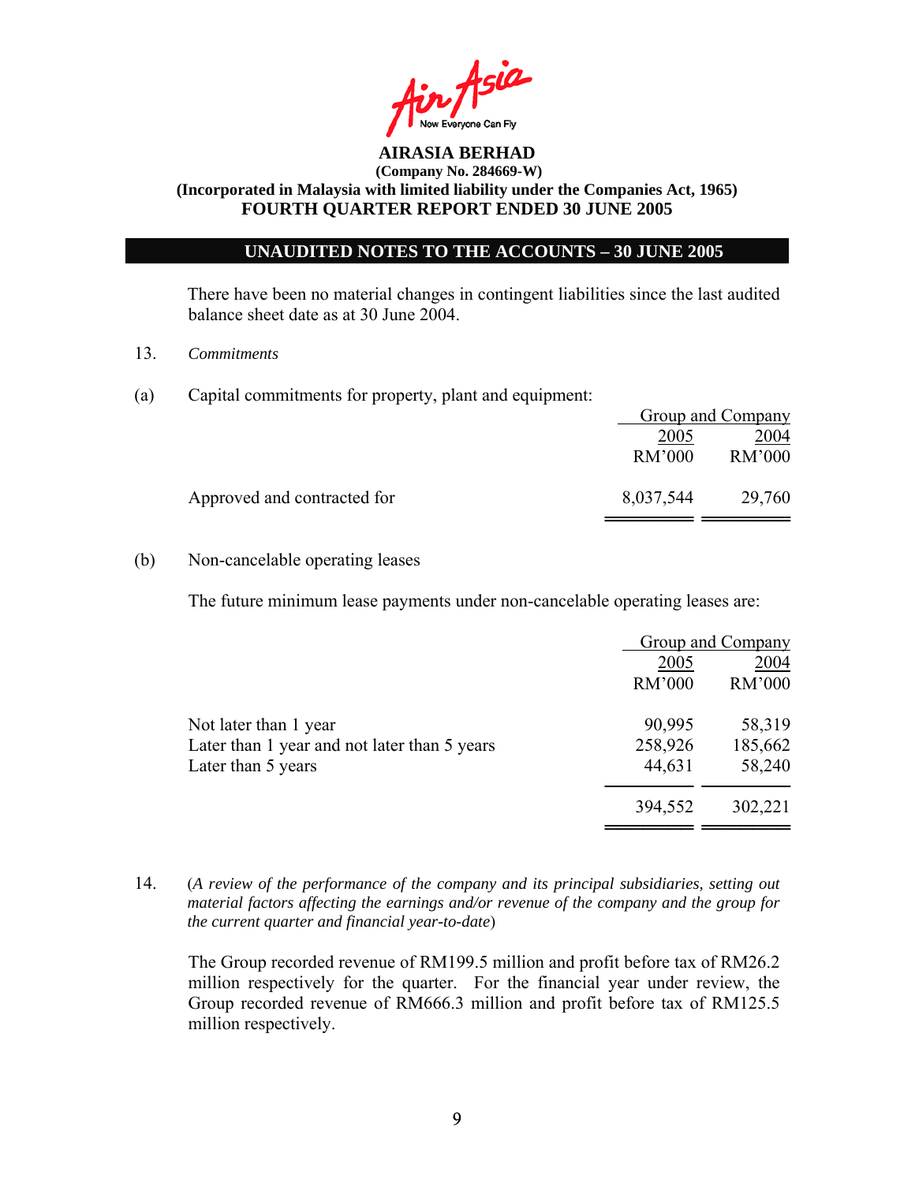

### **UNAUDITED NOTES TO THE ACCOUNTS – 30 JUNE 2005**

There have been no material changes in contingent liabilities since the last audited balance sheet date as at 30 June 2004.

- 13. *Commitments*
- (a) Capital commitments for property, plant and equipment:

|                             |           | Group and Company |
|-----------------------------|-----------|-------------------|
|                             | 2005      | 2004              |
|                             | RM'000    | RM'000            |
| Approved and contracted for | 8,037,544 | 29,760            |

#### (b) Non-cancelable operating leases

The future minimum lease payments under non-cancelable operating leases are:

|                                              |         | Group and Company |
|----------------------------------------------|---------|-------------------|
|                                              | 2005    | 2004              |
|                                              | RM'000  | RM'000            |
| Not later than 1 year                        | 90,995  | 58,319            |
| Later than 1 year and not later than 5 years | 258,926 | 185,662           |
| Later than 5 years                           | 44,631  | 58,240            |
|                                              | 394,552 | 302,221           |
|                                              |         |                   |

14. (*A review of the performance of the company and its principal subsidiaries, setting out material factors affecting the earnings and/or revenue of the company and the group for the current quarter and financial year-to-date*)

The Group recorded revenue of RM199.5 million and profit before tax of RM26.2 million respectively for the quarter. For the financial year under review, the Group recorded revenue of RM666.3 million and profit before tax of RM125.5 million respectively.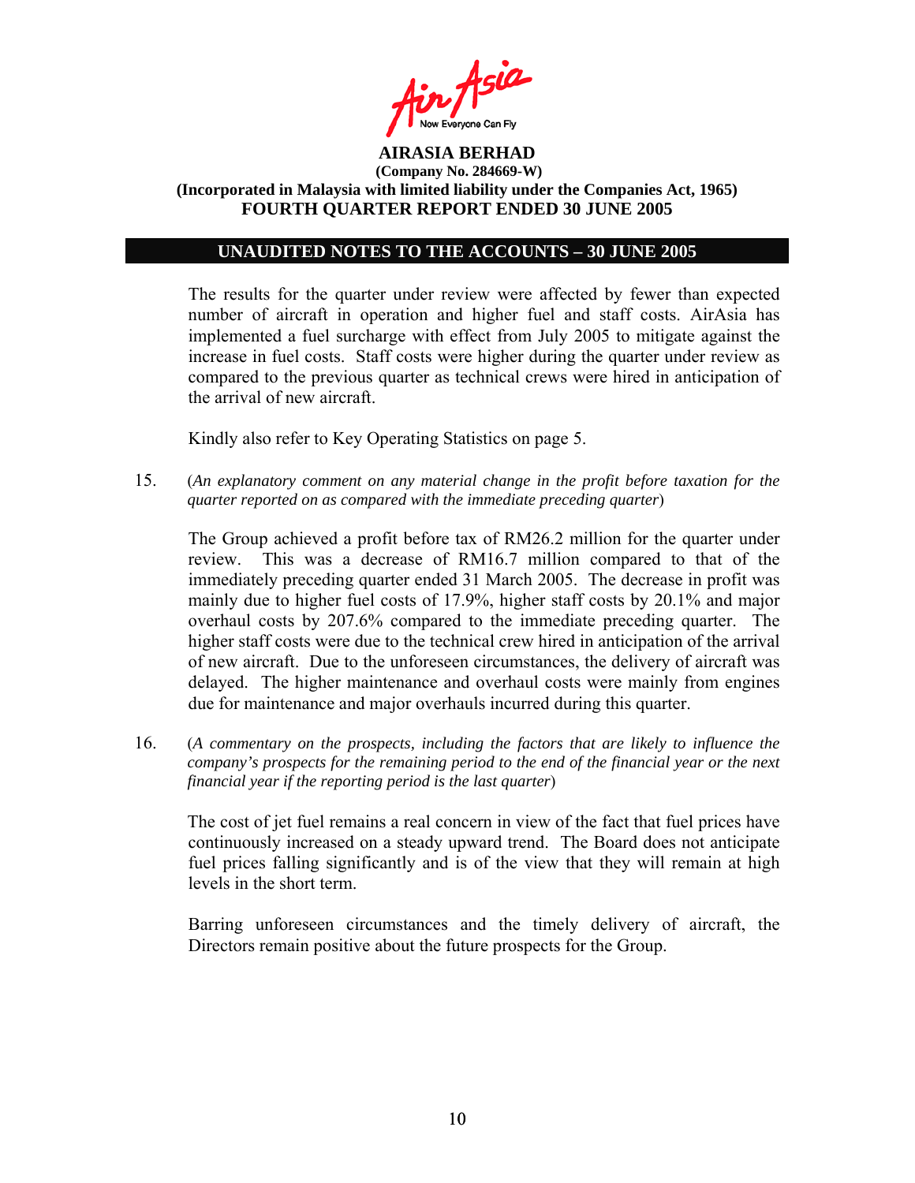

### **UNAUDITED NOTES TO THE ACCOUNTS – 30 JUNE 2005**

The results for the quarter under review were affected by fewer than expected number of aircraft in operation and higher fuel and staff costs. AirAsia has implemented a fuel surcharge with effect from July 2005 to mitigate against the increase in fuel costs. Staff costs were higher during the quarter under review as compared to the previous quarter as technical crews were hired in anticipation of the arrival of new aircraft.

Kindly also refer to Key Operating Statistics on page 5.

15. (*An explanatory comment on any material change in the profit before taxation for the quarter reported on as compared with the immediate preceding quarter*)

The Group achieved a profit before tax of RM26.2 million for the quarter under review. This was a decrease of RM16.7 million compared to that of the immediately preceding quarter ended 31 March 2005. The decrease in profit was mainly due to higher fuel costs of 17.9%, higher staff costs by 20.1% and major overhaul costs by 207.6% compared to the immediate preceding quarter. The higher staff costs were due to the technical crew hired in anticipation of the arrival of new aircraft. Due to the unforeseen circumstances, the delivery of aircraft was delayed. The higher maintenance and overhaul costs were mainly from engines due for maintenance and major overhauls incurred during this quarter.

16. (*A commentary on the prospects, including the factors that are likely to influence the company's prospects for the remaining period to the end of the financial year or the next financial year if the reporting period is the last quarter*)

The cost of jet fuel remains a real concern in view of the fact that fuel prices have continuously increased on a steady upward trend. The Board does not anticipate fuel prices falling significantly and is of the view that they will remain at high levels in the short term.

Barring unforeseen circumstances and the timely delivery of aircraft, the Directors remain positive about the future prospects for the Group.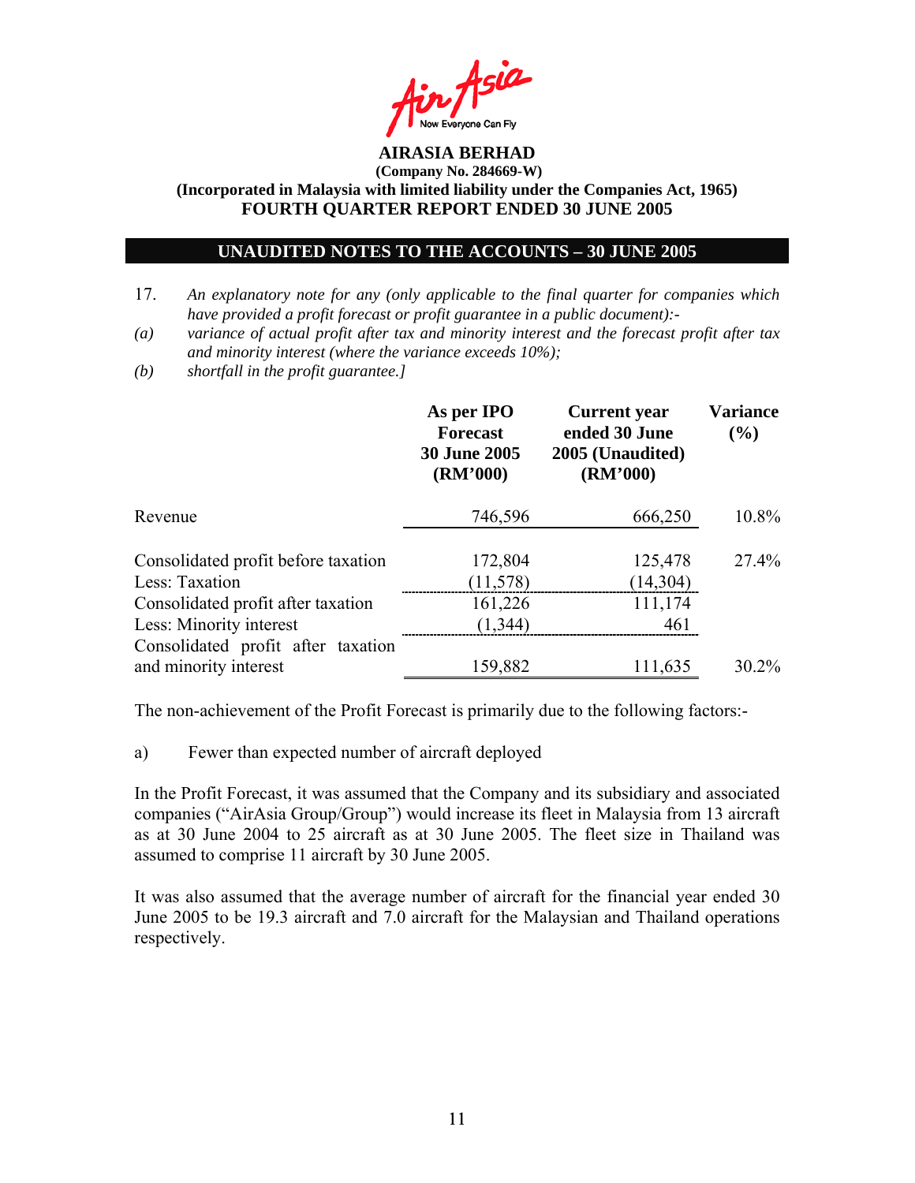

### **UNAUDITED NOTES TO THE ACCOUNTS – 30 JUNE 2005**

- 17. *An explanatory note for any (only applicable to the final quarter for companies which have provided a profit forecast or profit guarantee in a public document):-*
- *(a) variance of actual profit after tax and minority interest and the forecast profit after tax and minority interest (where the variance exceeds 10%);*
- *(b) shortfall in the profit guarantee.]*

|                                                               | As per IPO<br><b>Forecast</b><br><b>30 June 2005</b><br>(RM'000) | <b>Current</b> year<br>ended 30 June<br>2005 (Unaudited)<br>(RM'000) | <b>Variance</b><br>$($ %) |
|---------------------------------------------------------------|------------------------------------------------------------------|----------------------------------------------------------------------|---------------------------|
| Revenue                                                       | 746,596                                                          | 666,250                                                              | 10.8%                     |
| Consolidated profit before taxation<br>Less: Taxation         | 172,804<br>(11, 578)                                             | 125,478<br>(14,304)                                                  | 27.4%                     |
| Consolidated profit after taxation<br>Less: Minority interest | 161,226<br>(1, 344)                                              | 111,174<br>461                                                       |                           |
| Consolidated profit after taxation<br>and minority interest   | 159,882                                                          | 111,635                                                              | $30.2\%$                  |

The non-achievement of the Profit Forecast is primarily due to the following factors:-

a) Fewer than expected number of aircraft deployed

In the Profit Forecast, it was assumed that the Company and its subsidiary and associated companies ("AirAsia Group/Group") would increase its fleet in Malaysia from 13 aircraft as at 30 June 2004 to 25 aircraft as at 30 June 2005. The fleet size in Thailand was assumed to comprise 11 aircraft by 30 June 2005.

It was also assumed that the average number of aircraft for the financial year ended 30 June 2005 to be 19.3 aircraft and 7.0 aircraft for the Malaysian and Thailand operations respectively.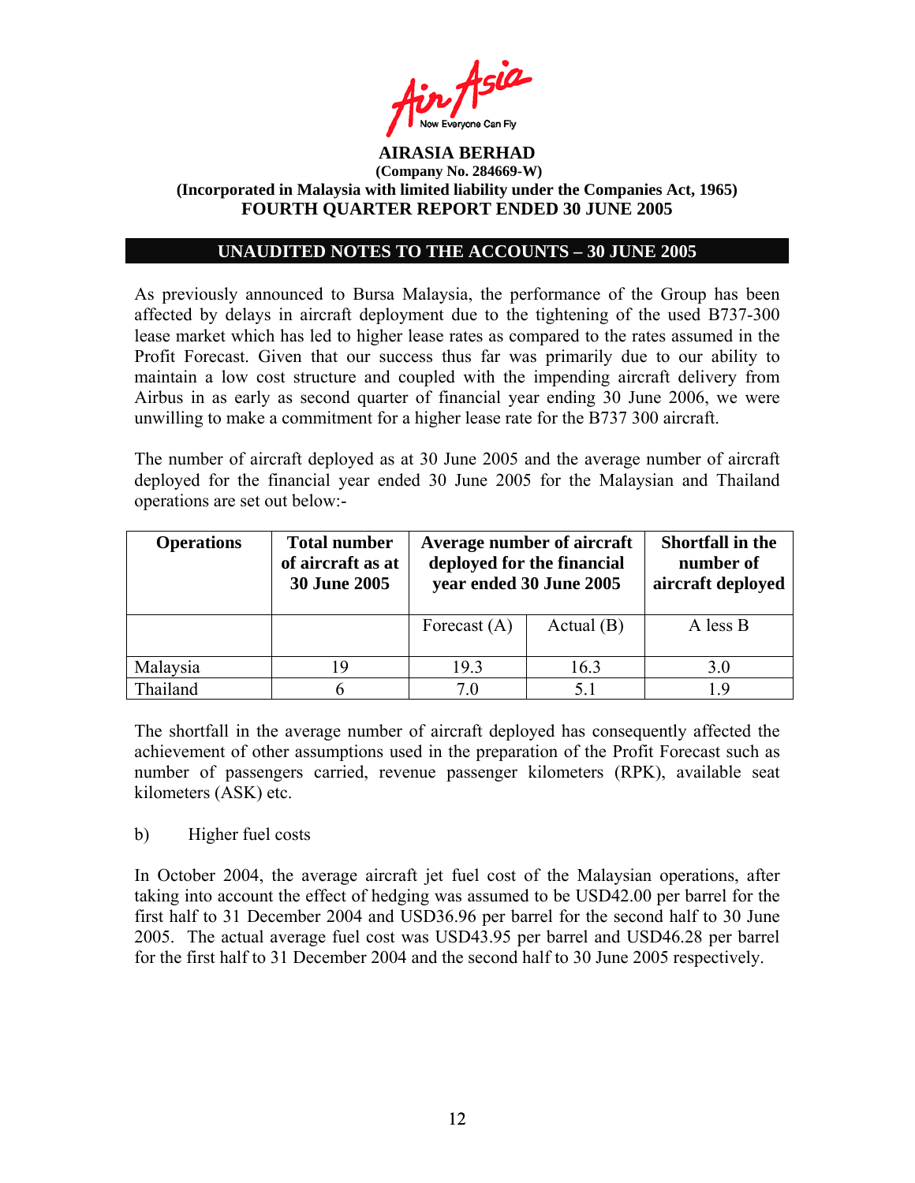

## **UNAUDITED NOTES TO THE ACCOUNTS – 30 JUNE 2005**

As previously announced to Bursa Malaysia, the performance of the Group has been affected by delays in aircraft deployment due to the tightening of the used B737-300 lease market which has led to higher lease rates as compared to the rates assumed in the Profit Forecast. Given that our success thus far was primarily due to our ability to maintain a low cost structure and coupled with the impending aircraft delivery from Airbus in as early as second quarter of financial year ending 30 June 2006, we were unwilling to make a commitment for a higher lease rate for the B737 300 aircraft.

The number of aircraft deployed as at 30 June 2005 and the average number of aircraft deployed for the financial year ended 30 June 2005 for the Malaysian and Thailand operations are set out below:-

| <b>Operations</b> | <b>Total number</b><br>of aircraft as at<br><b>30 June 2005</b> | Average number of aircraft<br>deployed for the financial<br>year ended 30 June 2005 |              | <b>Shortfall in the</b><br>number of<br>aircraft deployed |
|-------------------|-----------------------------------------------------------------|-------------------------------------------------------------------------------------|--------------|-----------------------------------------------------------|
|                   |                                                                 | Forecast $(A)$                                                                      | Actual $(B)$ | A less B                                                  |
| Malaysia          | 19                                                              | 19.3                                                                                | 16.3         | 3.0                                                       |
| Thailand          |                                                                 | 70                                                                                  | 5.1          | 19                                                        |

The shortfall in the average number of aircraft deployed has consequently affected the achievement of other assumptions used in the preparation of the Profit Forecast such as number of passengers carried, revenue passenger kilometers (RPK), available seat kilometers (ASK) etc.

### b) Higher fuel costs

In October 2004, the average aircraft jet fuel cost of the Malaysian operations, after taking into account the effect of hedging was assumed to be USD42.00 per barrel for the first half to 31 December 2004 and USD36.96 per barrel for the second half to 30 June 2005. The actual average fuel cost was USD43.95 per barrel and USD46.28 per barrel for the first half to 31 December 2004 and the second half to 30 June 2005 respectively.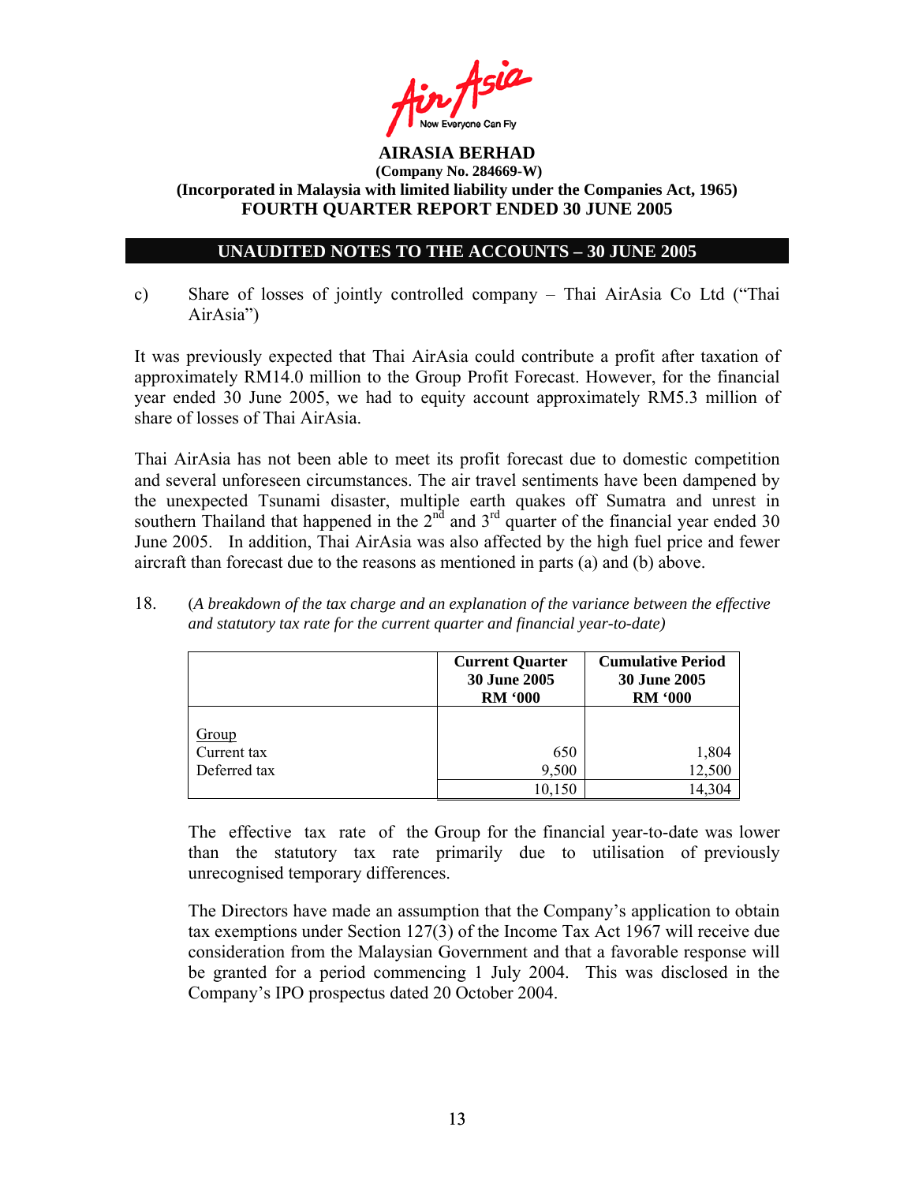

## **UNAUDITED NOTES TO THE ACCOUNTS – 30 JUNE 2005**

c) Share of losses of jointly controlled company – Thai AirAsia Co Ltd ("Thai AirAsia")

It was previously expected that Thai AirAsia could contribute a profit after taxation of approximately RM14.0 million to the Group Profit Forecast. However, for the financial year ended 30 June 2005, we had to equity account approximately RM5.3 million of share of losses of Thai AirAsia.

Thai AirAsia has not been able to meet its profit forecast due to domestic competition and several unforeseen circumstances. The air travel sentiments have been dampened by the unexpected Tsunami disaster, multiple earth quakes off Sumatra and unrest in southern Thailand that happened in the  $2<sup>nd</sup>$  and  $3<sup>rd</sup>$  quarter of the financial year ended 30 June 2005. In addition, Thai AirAsia was also affected by the high fuel price and fewer aircraft than forecast due to the reasons as mentioned in parts (a) and (b) above.

18. (*A breakdown of the tax charge and an explanation of the variance between the effective and statutory tax rate for the current quarter and financial year-to-date)*

|                             | <b>Current Quarter</b><br>30 June 2005<br><b>RM '000</b> | <b>Cumulative Period</b><br><b>30 June 2005</b><br><b>RM '000</b> |  |
|-----------------------------|----------------------------------------------------------|-------------------------------------------------------------------|--|
| <u>Group</u><br>Current tax | 650                                                      | 1,804                                                             |  |
| Deferred tax                | 9,500<br>10,150                                          | 12,500<br>14,304                                                  |  |

The effective tax rate of the Group for the financial year-to-date was lower than the statutory tax rate primarily due to utilisation of previously unrecognised temporary differences.

The Directors have made an assumption that the Company's application to obtain tax exemptions under Section 127(3) of the Income Tax Act 1967 will receive due consideration from the Malaysian Government and that a favorable response will be granted for a period commencing 1 July 2004. This was disclosed in the Company's IPO prospectus dated 20 October 2004.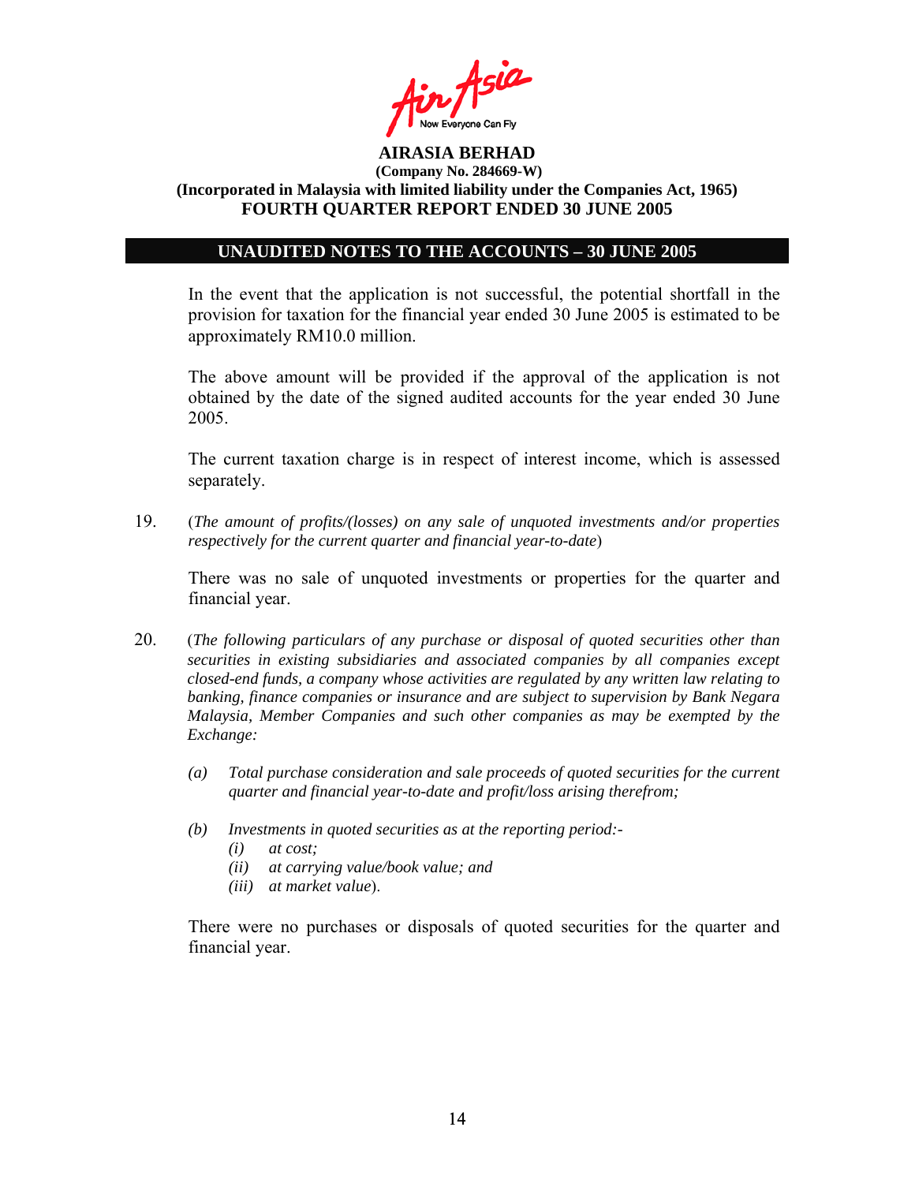

### **UNAUDITED NOTES TO THE ACCOUNTS – 30 JUNE 2005**

In the event that the application is not successful, the potential shortfall in the provision for taxation for the financial year ended 30 June 2005 is estimated to be approximately RM10.0 million.

The above amount will be provided if the approval of the application is not obtained by the date of the signed audited accounts for the year ended 30 June 2005.

The current taxation charge is in respect of interest income, which is assessed separately.

19. (*The amount of profits/(losses) on any sale of unquoted investments and/or properties respectively for the current quarter and financial year-to-date*)

There was no sale of unquoted investments or properties for the quarter and financial year.

- 20. (*The following particulars of any purchase or disposal of quoted securities other than securities in existing subsidiaries and associated companies by all companies except closed-end funds, a company whose activities are regulated by any written law relating to banking, finance companies or insurance and are subject to supervision by Bank Negara Malaysia, Member Companies and such other companies as may be exempted by the Exchange:* 
	- *(a) Total purchase consideration and sale proceeds of quoted securities for the current quarter and financial year-to-date and profit/loss arising therefrom;*
	- *(b) Investments in quoted securities as at the reporting period:-* 
		- *(i) at cost;*
		- *(ii) at carrying value/book value; and*
		- *(iii) at market value*).

There were no purchases or disposals of quoted securities for the quarter and financial year.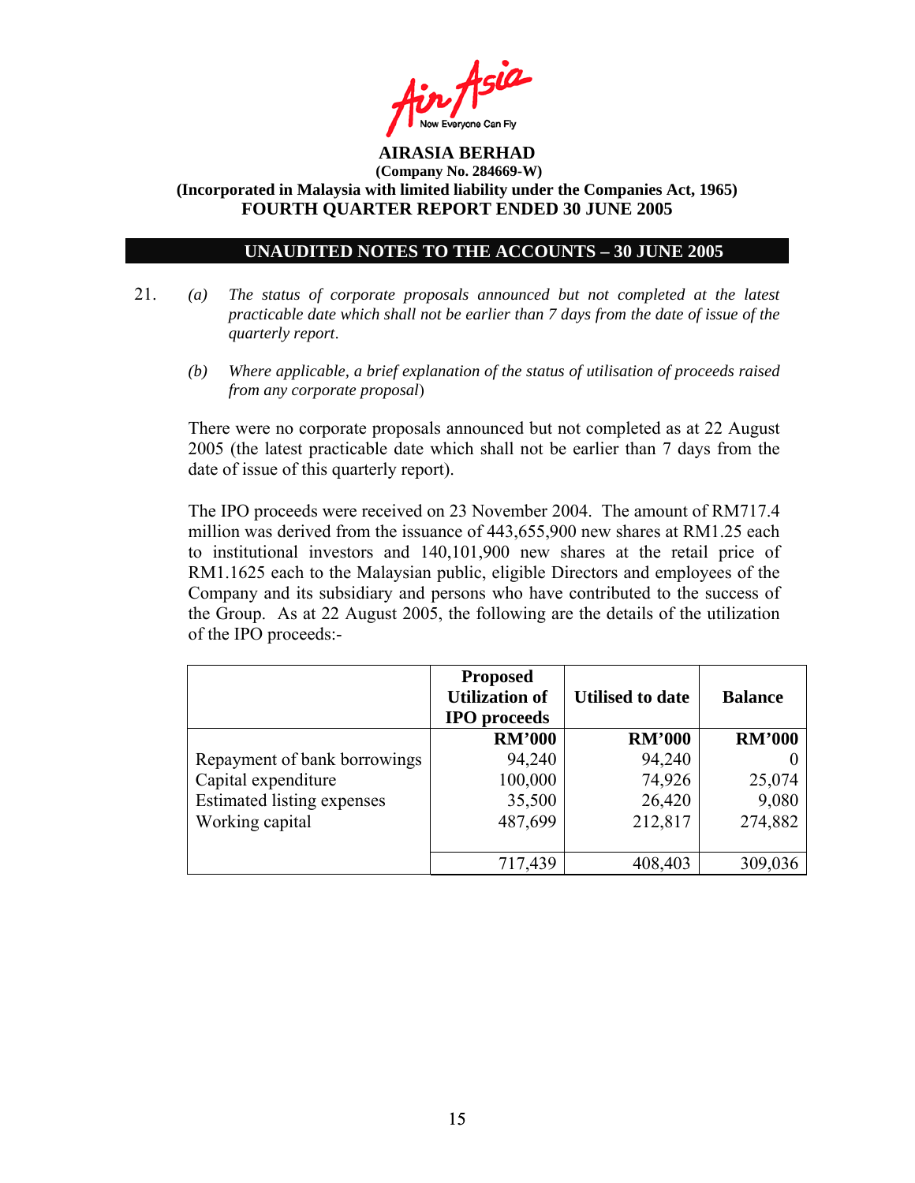

## **UNAUDITED NOTES TO THE ACCOUNTS – 30 JUNE 2005**

- 21. *(a) The status of corporate proposals announced but not completed at the latest practicable date which shall not be earlier than 7 days from the date of issue of the quarterly report*.
	- *(b) Where applicable, a brief explanation of the status of utilisation of proceeds raised from any corporate proposal*)

There were no corporate proposals announced but not completed as at 22 August 2005 (the latest practicable date which shall not be earlier than 7 days from the date of issue of this quarterly report).

 The IPO proceeds were received on 23 November 2004. The amount of RM717.4 million was derived from the issuance of 443,655,900 new shares at RM1.25 each to institutional investors and 140,101,900 new shares at the retail price of RM1.1625 each to the Malaysian public, eligible Directors and employees of the Company and its subsidiary and persons who have contributed to the success of the Group. As at 22 August 2005, the following are the details of the utilization of the IPO proceeds:-

|                              | <b>Proposed</b><br><b>Utilization of</b><br><b>IPO</b> proceeds | <b>Utilised to date</b> | <b>Balance</b> |
|------------------------------|-----------------------------------------------------------------|-------------------------|----------------|
|                              | <b>RM'000</b>                                                   | <b>RM'000</b>           | <b>RM'000</b>  |
| Repayment of bank borrowings | 94,240                                                          | 94,240                  |                |
| Capital expenditure          | 100,000                                                         | 74,926                  | 25,074         |
| Estimated listing expenses   | 35,500                                                          | 26,420                  | 9,080          |
| Working capital              | 487,699                                                         | 212,817                 | 274,882        |
|                              |                                                                 |                         |                |
|                              | 717,439                                                         | 408,403                 | 309,036        |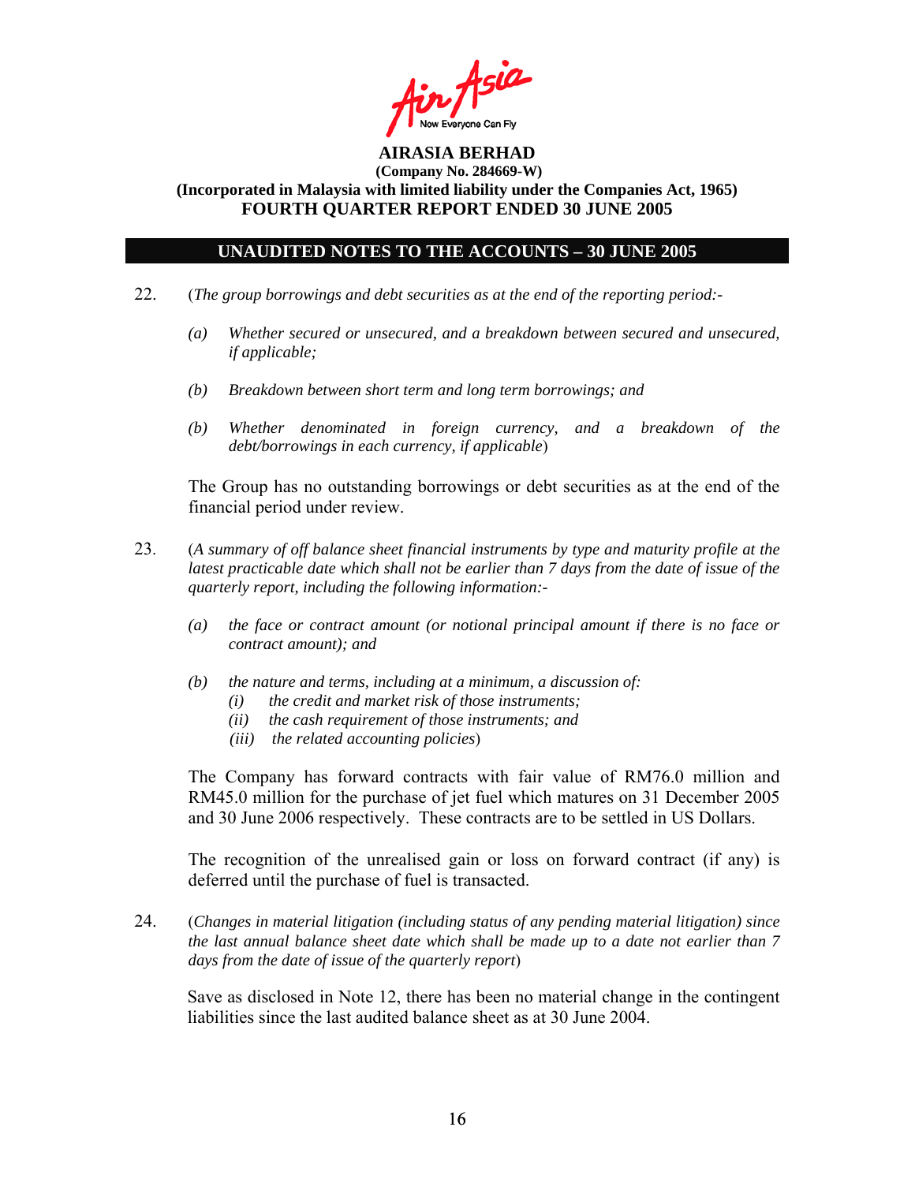

### **UNAUDITED NOTES TO THE ACCOUNTS – 30 JUNE 2005**

- 22. (*The group borrowings and debt securities as at the end of the reporting period:-* 
	- *(a) Whether secured or unsecured, and a breakdown between secured and unsecured, if applicable;*
	- *(b) Breakdown between short term and long term borrowings; and*
	- *(b) Whether denominated in foreign currency, and a breakdown of the debt/borrowings in each currency, if applicable*)

The Group has no outstanding borrowings or debt securities as at the end of the financial period under review.

- 23. (*A summary of off balance sheet financial instruments by type and maturity profile at the latest practicable date which shall not be earlier than 7 days from the date of issue of the quarterly report, including the following information:-* 
	- *(a) the face or contract amount (or notional principal amount if there is no face or contract amount); and*
	- *(b) the nature and terms, including at a minimum, a discussion of:* 
		- *(i) the credit and market risk of those instruments;*
		- *(ii) the cash requirement of those instruments; and*
		- *(iii) the related accounting policies*)

The Company has forward contracts with fair value of RM76.0 million and RM45.0 million for the purchase of jet fuel which matures on 31 December 2005 and 30 June 2006 respectively. These contracts are to be settled in US Dollars.

The recognition of the unrealised gain or loss on forward contract (if any) is deferred until the purchase of fuel is transacted.

24. (*Changes in material litigation (including status of any pending material litigation) since the last annual balance sheet date which shall be made up to a date not earlier than 7 days from the date of issue of the quarterly report*)

Save as disclosed in Note 12, there has been no material change in the contingent liabilities since the last audited balance sheet as at 30 June 2004.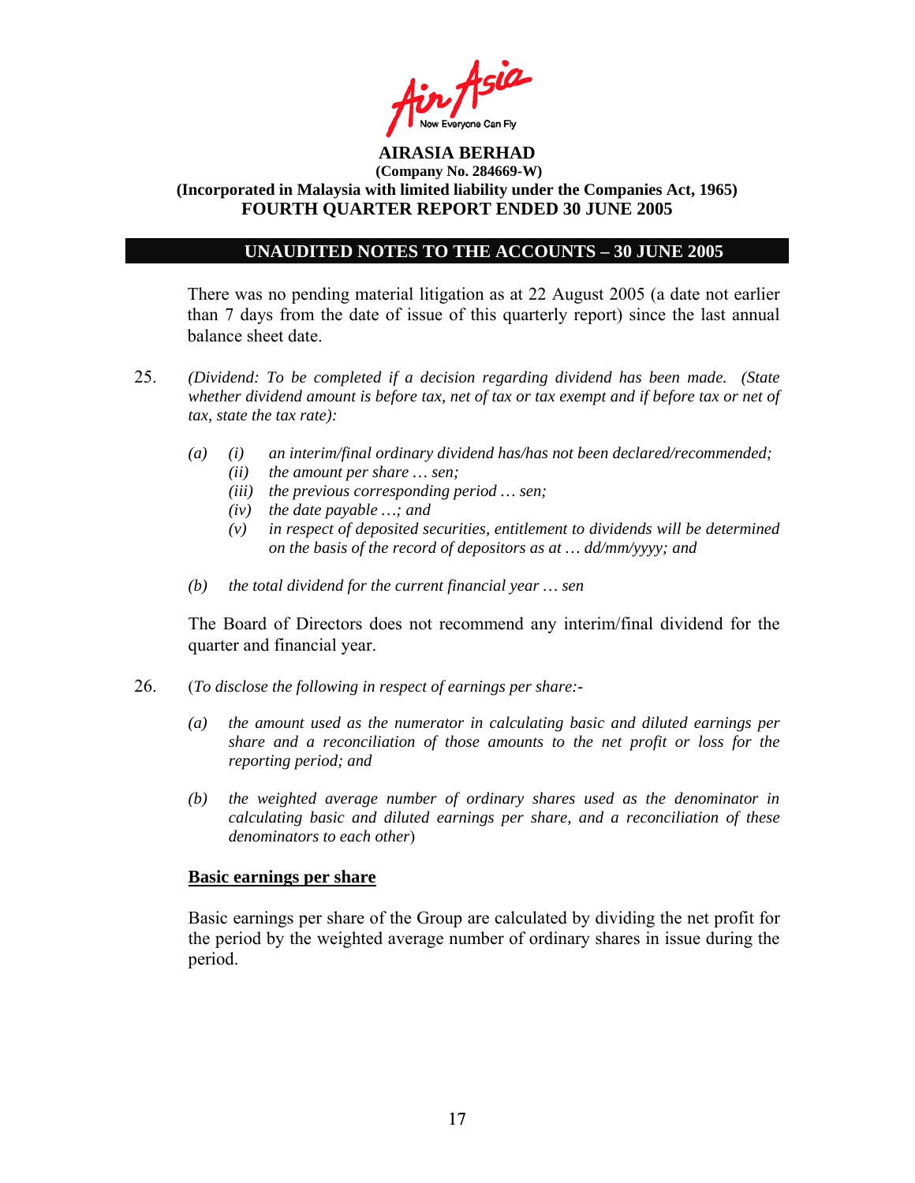

### **UNAUDITED NOTES TO THE ACCOUNTS – 30 JUNE 2005**

There was no pending material litigation as at 22 August 2005 (a date not earlier than 7 days from the date of issue of this quarterly report) since the last annual balance sheet date.

- 25. *(Dividend: To be completed if a decision regarding dividend has been made. (State whether dividend amount is before tax, net of tax or tax exempt and if before tax or net of tax, state the tax rate):*
	- *(a) (i) an interim/final ordinary dividend has/has not been declared/recommended;* 
		- *(ii) the amount per share … sen;*
		- *(iii) the previous corresponding period … sen;*
		- *(iv) the date payable …; and*
		- *(v) in respect of deposited securities, entitlement to dividends will be determined on the basis of the record of depositors as at … dd/mm/yyyy; and*
	- *(b) the total dividend for the current financial year … sen*

The Board of Directors does not recommend any interim/final dividend for the quarter and financial year.

- 26. (*To disclose the following in respect of earnings per share:-* 
	- *(a) the amount used as the numerator in calculating basic and diluted earnings per share and a reconciliation of those amounts to the net profit or loss for the reporting period; and*
	- *(b) the weighted average number of ordinary shares used as the denominator in calculating basic and diluted earnings per share, and a reconciliation of these denominators to each other*)

### **Basic earnings per share**

 Basic earnings per share of the Group are calculated by dividing the net profit for the period by the weighted average number of ordinary shares in issue during the period.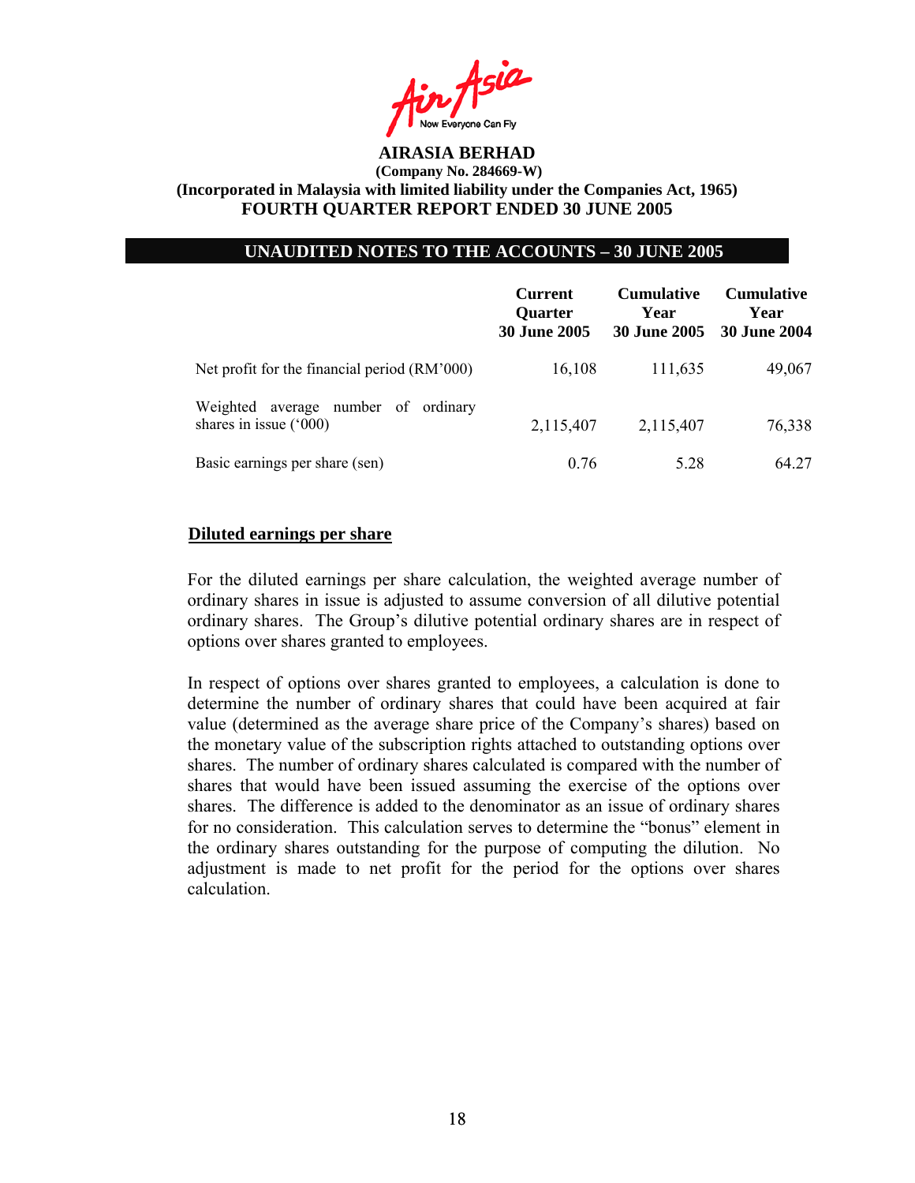

### **UNAUDITED NOTES TO THE ACCOUNTS – 30 JUNE 2005**

|                                                                    | <b>Current</b><br><b>Ouarter</b><br><b>30 June 2005</b> | <b>Cumulative</b><br>Year<br><b>30 June 2005</b> | <b>Cumulative</b><br>Year<br>30 June 2004 |
|--------------------------------------------------------------------|---------------------------------------------------------|--------------------------------------------------|-------------------------------------------|
| Net profit for the financial period (RM'000)                       | 16,108                                                  | 111,635                                          | 49,067                                    |
| average number of ordinary<br>Weighted<br>shares in issue $('000)$ | 2,115,407                                               | 2,115,407                                        | 76,338                                    |
| Basic earnings per share (sen)                                     | 0.76                                                    | 5.28                                             | 64 27                                     |

#### **Diluted earnings per share**

For the diluted earnings per share calculation, the weighted average number of ordinary shares in issue is adjusted to assume conversion of all dilutive potential ordinary shares. The Group's dilutive potential ordinary shares are in respect of options over shares granted to employees.

In respect of options over shares granted to employees, a calculation is done to determine the number of ordinary shares that could have been acquired at fair value (determined as the average share price of the Company's shares) based on the monetary value of the subscription rights attached to outstanding options over shares. The number of ordinary shares calculated is compared with the number of shares that would have been issued assuming the exercise of the options over shares. The difference is added to the denominator as an issue of ordinary shares for no consideration. This calculation serves to determine the "bonus" element in the ordinary shares outstanding for the purpose of computing the dilution. No adjustment is made to net profit for the period for the options over shares calculation.